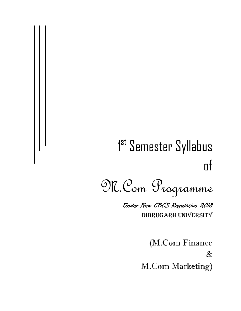# 1<sup>st</sup> Semester Syllabus of

M.Com Programme Under New CBCS Regulation 2018 DIBRUGARH UNIVERSITY

> (M.Com Finance & M.Com Marketing)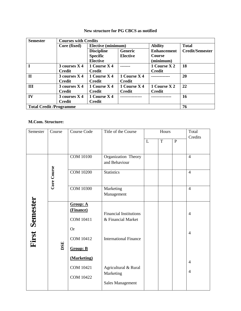| <b>Semester</b> | <b>Courses with Credits</b>    |                           |                 |                    |                        |  |
|-----------------|--------------------------------|---------------------------|-----------------|--------------------|------------------------|--|
|                 | Core (fixed)                   | <b>Elective (minimum)</b> |                 | <b>Ability</b>     | <b>Total</b>           |  |
|                 |                                | <b>Discipline</b>         | <b>Generic</b>  | <b>Enhancement</b> | <b>Credit/Semester</b> |  |
|                 |                                | <b>Specific</b>           | <b>Elective</b> | <b>Course</b>      |                        |  |
|                 |                                | <b>Elective</b>           |                 | (minimum)          |                        |  |
|                 | $3$ courses $X$ 4              | 1 Course X 4              |                 | 1 Course X 2       | 18                     |  |
|                 | <b>Credit</b>                  | <b>Credit</b>             |                 | <b>Credit</b>      |                        |  |
| $\mathbf{I}$    | 3 courses X 4                  | 1 Course X 4              | 1 Course X 4    |                    | 20                     |  |
|                 | <b>Credit</b>                  | <b>Credit</b>             | <b>Credit</b>   |                    |                        |  |
| III             | 3 courses X 4                  | 1 Course X 4              | 1 Course X 4    | 1 Course X 2       | 22                     |  |
|                 | <b>Credit</b>                  | <b>Credit</b>             | <b>Credit</b>   | <b>Credit</b>      |                        |  |
| IV              | 3 courses X 4                  | 1 Course X 4              |                 |                    | 16                     |  |
|                 | <b>Credit</b>                  | <b>Credit</b>             |                 |                    |                        |  |
|                 | <b>Total Credit /Programme</b> |                           |                 |                    |                        |  |

# **New structure for PG CBCS as notified**

# **M.Com. Structure:**

| Semester              | Course      | <b>Course Code</b>                                                         | Title of the Course                                                                 | Hours |   |              | Total                            |
|-----------------------|-------------|----------------------------------------------------------------------------|-------------------------------------------------------------------------------------|-------|---|--------------|----------------------------------|
|                       |             |                                                                            |                                                                                     | L     | T | $\mathbf{P}$ | Credits                          |
|                       |             | <b>COM 10100</b>                                                           | Organization Theory<br>and Behaviour                                                |       |   |              | $\overline{4}$                   |
|                       | Core Course | <b>COM 10200</b>                                                           | <b>Statistics</b>                                                                   |       |   |              | $\overline{4}$                   |
|                       |             | <b>COM 10300</b>                                                           | Marketing<br>Management                                                             |       |   |              | $\overline{4}$                   |
| <b>First Semester</b> | DSE         | Group: A<br>(Finance)<br><b>COM 10411</b><br><b>Or</b><br><b>COM 10412</b> | <b>Financial Institutions</b><br>& Financial Market<br><b>International Finance</b> |       |   |              | $\overline{4}$<br>$\overline{4}$ |
|                       |             | <b>Group: B</b><br>(Marketing)<br><b>COM 10421</b><br><b>COM 10422</b>     | Agricultural & Rural<br>Marketing<br><b>Sales Management</b>                        |       |   |              | $\overline{4}$<br>$\overline{4}$ |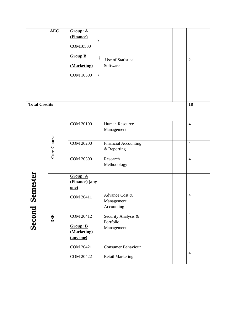|                      | <b>AEC</b>  | Group: A<br>(Finance)<br><b>COM10500</b><br><b>Group B</b> | Use of Statistical                             |  | $\overline{2}$ |
|----------------------|-------------|------------------------------------------------------------|------------------------------------------------|--|----------------|
|                      |             | (Marketing)<br><b>COM 10500</b>                            | Software                                       |  |                |
| <b>Total Credits</b> |             |                                                            |                                                |  | 18             |
|                      |             | <b>COM 20100</b>                                           | Human Resource<br>Management                   |  | $\overline{4}$ |
|                      | Core Course | <b>COM 20200</b>                                           | <b>Financial Accounting</b><br>& Reporting     |  | $\overline{4}$ |
|                      |             | <b>COM 20300</b>                                           | Research<br>Methodology                        |  | $\overline{4}$ |
| Semester             |             | Group: A<br>(Finance) (any<br><u>one)</u>                  |                                                |  |                |
|                      |             | <b>COM 20411</b>                                           | Advance Cost &<br>Management<br>Accounting     |  | $\overline{4}$ |
| Second               | DSE         | COM 20412<br><b>Group: B</b><br>(Marketing)                | Security Analysis &<br>Portfolio<br>Management |  | $\overline{4}$ |
|                      |             | (any one)<br><b>COM 20421</b>                              | <b>Consumer Behaviour</b>                      |  | $\overline{4}$ |
|                      |             | <b>COM 20422</b>                                           | <b>Retail Marketing</b>                        |  | $\overline{4}$ |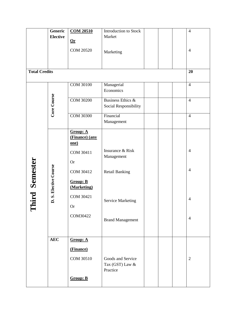|                      | Generic               | <b>COM 20510</b>               | Introduction to Stock    |  | $\overline{4}$   |
|----------------------|-----------------------|--------------------------------|--------------------------|--|------------------|
|                      | <b>Elective</b>       |                                | Market                   |  |                  |
|                      |                       | $Or$                           |                          |  |                  |
|                      |                       | <b>COM 20520</b>               |                          |  | $\overline{4}$   |
|                      |                       |                                | Marketing                |  |                  |
|                      |                       |                                |                          |  |                  |
| <b>Total Credits</b> |                       |                                |                          |  | 20               |
|                      |                       |                                |                          |  |                  |
|                      |                       | <b>COM 30100</b>               |                          |  | $\overline{4}$   |
|                      |                       |                                | Managerial<br>Economics  |  |                  |
|                      |                       |                                |                          |  |                  |
|                      |                       | <b>COM 30200</b>               | Business Ethics &        |  | $\overline{4}$   |
|                      |                       |                                | Social Responsibility    |  |                  |
|                      | Core Course           | <b>COM 30300</b>               | Financial                |  |                  |
|                      |                       |                                | Management               |  | $\overline{4}$   |
|                      |                       |                                |                          |  |                  |
|                      |                       | Group: A                       |                          |  |                  |
|                      |                       | (Finance) (any                 |                          |  |                  |
|                      |                       | one)                           |                          |  |                  |
|                      |                       | COM 30411                      | Insurance & Risk         |  | $\overline{4}$   |
|                      |                       |                                | Management               |  |                  |
|                      |                       | <b>Or</b>                      |                          |  |                  |
| iird Semester        | D. S. Elective Course | COM 30412                      | <b>Retail Banking</b>    |  | $\overline{4}$   |
|                      |                       |                                |                          |  |                  |
|                      |                       | <b>Group: B</b><br>(Marketing) |                          |  |                  |
|                      |                       |                                |                          |  |                  |
|                      |                       | COM 30421                      |                          |  | $\overline{4}$   |
|                      |                       | <b>Or</b>                      | <b>Service Marketing</b> |  |                  |
|                      |                       |                                |                          |  |                  |
|                      |                       | COM30422                       |                          |  | $\overline{4}$   |
|                      |                       |                                | <b>Brand Management</b>  |  |                  |
|                      |                       |                                |                          |  |                  |
|                      | <b>AEC</b>            |                                |                          |  |                  |
|                      |                       | Group: A                       |                          |  |                  |
|                      |                       | (Finance)                      |                          |  |                  |
|                      |                       | <b>COM 30510</b>               | Goods and Service        |  | $\boldsymbol{2}$ |
|                      |                       |                                | Tax (GST) Law $\&$       |  |                  |
|                      |                       |                                | Practice                 |  |                  |
|                      |                       | <b>Group: B</b>                |                          |  |                  |
|                      |                       |                                |                          |  |                  |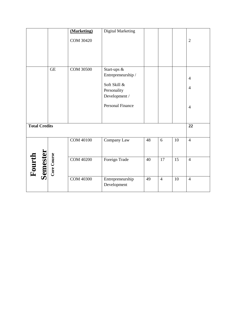|                                   |                     | (Marketing)      | <b>Digital Marketing</b>  |    |                |    |                |
|-----------------------------------|---------------------|------------------|---------------------------|----|----------------|----|----------------|
|                                   |                     | <b>COM 30420</b> |                           |    |                |    | $\overline{2}$ |
|                                   |                     |                  |                           |    |                |    |                |
|                                   |                     |                  |                           |    |                |    |                |
|                                   |                     |                  |                           |    |                |    |                |
|                                   |                     |                  |                           |    |                |    |                |
|                                   | $\operatorname{GE}$ | <b>COM 30500</b> | Start-ups $\overline{\&}$ |    |                |    |                |
|                                   |                     |                  | Entrepreneurship /        |    |                |    | $\overline{4}$ |
|                                   |                     |                  | Soft Skill &              |    |                |    |                |
|                                   |                     |                  | Personality               |    |                |    | $\overline{4}$ |
|                                   |                     |                  | Development /             |    |                |    |                |
|                                   |                     |                  | <b>Personal Finance</b>   |    |                |    |                |
|                                   |                     |                  |                           |    |                |    | $\overline{4}$ |
|                                   |                     |                  |                           |    |                |    |                |
|                                   |                     |                  |                           |    |                |    |                |
| <b>Total Credits</b>              |                     |                  |                           |    |                |    | 22             |
|                                   |                     |                  |                           |    |                |    |                |
|                                   |                     | <b>COM 40100</b> | Company Law               | 48 | 6              | 10 | $\overline{4}$ |
|                                   |                     |                  |                           |    |                |    |                |
|                                   |                     |                  |                           |    |                |    |                |
|                                   |                     | <b>COM 40200</b> | Foreign Trade             | 40 | 17             | 15 | $\overline{4}$ |
|                                   |                     |                  |                           |    |                |    |                |
| Fourth<br>Semester<br>Core Course |                     |                  |                           |    |                |    |                |
|                                   |                     | COM 40300        | Entrepreneurship          | 49 | $\overline{4}$ | 10 | $\overline{4}$ |
|                                   |                     |                  | Development               |    |                |    |                |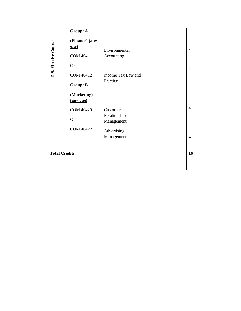| D.S. Elective Course | Group: A<br>(Finance) (any<br>one)<br>COM 40411<br><b>Or</b>                              | Environmental<br>Accounting                                              |  | $\overline{4}$<br>$\overline{4}$ |
|----------------------|-------------------------------------------------------------------------------------------|--------------------------------------------------------------------------|--|----------------------------------|
|                      | COM 40412<br><b>Group: B</b><br>(Marketing)<br>(any one)<br><b>COM 40420</b><br><b>Or</b> | Income Tax Law and<br>Practice<br>Customer<br>Relationship<br>Management |  | $\overline{4}$                   |
| <b>Total Credits</b> | <b>COM 40422</b>                                                                          | Advertising<br>Management                                                |  | $\overline{4}$<br>16             |
|                      |                                                                                           |                                                                          |  |                                  |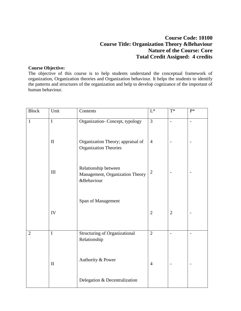# **Course Code: 10100 Course Title: Organization Theory &Behaviour Nature of the Course: Core Total Credit Assigned: 4 credits**

## **Course Objective:**

The objective of this course is to help students understand the conceptual framework of organization, Organization theories and Organization behaviour. It helps the students to identify the patterns and structures of the organization and help to develop cognizance of the important of human behaviour.

| <b>Block</b>   | Unit         | Contents                                                              | $\mathcal{L}^*$ | $T^*$                    | $P^*$          |
|----------------|--------------|-----------------------------------------------------------------------|-----------------|--------------------------|----------------|
| $\mathbf{1}$   | $\mathbf I$  | Organization- Concept, typology                                       | $\overline{3}$  | $\overline{a}$           | $\overline{a}$ |
|                | $\mathbf{I}$ | Organization Theory; appraisal of<br><b>Organization Theories</b>     | $\overline{4}$  |                          |                |
|                | III          | Relationship between<br>Management, Organization Theory<br>&Behaviour | $\overline{2}$  |                          |                |
|                |              | Span of Management                                                    |                 |                          |                |
|                | IV           |                                                                       | $\overline{2}$  | $\overline{2}$           |                |
| $\overline{2}$ | $\mathbf I$  | <b>Structuring of Organizational</b><br>Relationship                  | $\overline{2}$  | $\overline{a}$           | $\overline{a}$ |
|                | $\mathbf{I}$ | Authority & Power                                                     | $\overline{4}$  | $\overline{\phantom{a}}$ | $\overline{a}$ |
|                |              | Delegation & Decentralization                                         |                 |                          |                |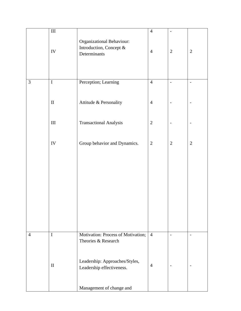|                | $\rm III$    |                                                                      | $\overline{4}$ | $\overline{\phantom{a}}$ |                          |
|----------------|--------------|----------------------------------------------------------------------|----------------|--------------------------|--------------------------|
|                | IV           | Organizational Behaviour:<br>Introduction, Concept &<br>Determinants | $\overline{4}$ | $\mathbf{2}$             | $\overline{2}$           |
| $\mathfrak{Z}$ | $\mathbf I$  | Perception; Learning                                                 | $\overline{4}$ | $\overline{a}$           | $\overline{a}$           |
|                | $\rm II$     | Attitude & Personality                                               | $\overline{4}$ |                          |                          |
|                | $\rm III$    | <b>Transactional Analysis</b>                                        | $\overline{2}$ | $\overline{\phantom{a}}$ | $\qquad \qquad -$        |
|                | IV           | Group behavior and Dynamics.                                         | $\mathbf{2}$   | $\mathbf{2}$             | $\sqrt{2}$               |
|                |              |                                                                      |                |                          |                          |
|                |              |                                                                      |                |                          |                          |
|                |              |                                                                      |                |                          |                          |
|                |              |                                                                      |                |                          |                          |
| $\overline{4}$ | $\mathbf I$  | Motivation: Process of Motivation;<br>Theories & Research            | $\overline{4}$ | $\overline{\phantom{a}}$ | $\overline{\phantom{0}}$ |
|                | $\mathbf{I}$ | Leadership: Approaches/Styles,<br>Leadership effectiveness.          | $\overline{4}$ |                          |                          |
|                |              | Management of change and                                             |                |                          |                          |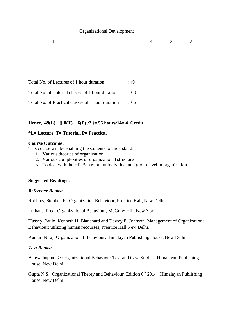|     | <b>Organizational Development</b> |  |  |
|-----|-----------------------------------|--|--|
| 41. |                                   |  |  |
|     |                                   |  |  |
|     |                                   |  |  |
|     |                                   |  |  |

| Total No. of Lectures of 1 hour duration                     | .49        |
|--------------------------------------------------------------|------------|
| Total No. of Tutorial classes of 1 hour duration             | $\cdot$ 08 |
| Total No of Practical classes of 1 hour duration $\qquad 06$ |            |

## **Hence, 49(L) +{[ 8(T) + 6(P)]/2 }= 56 hours/14= 4 Credit**

## **\*L= Lecture, T= Tutorial, P= Practical**

### **Course Outcome:**

This course will be enabling the students to understand:

- 1. Various theories of organization
- 2. Various complexities of organizational structure
- 3. To deal with the HR Behaviour at individual and group level in organization

### **Suggested Readings:**

### *Reference Books:*

Robbins, Stephen P : Organization Behaviour, Prentice Hall, New Delhi

Luthans, Fred: Organizational Behaviour, McGraw Hill, New York

Hussey, Paulo, Kenneth H, Blanchard and Dewey E. Johnson: Management of Organizational Behaviour: utilizing human recourses, Prentice Hall New Delhi.

Kumar, Niraj: Organizational Behaviour, Himalayan Publishing House, New Delhi

## *Text Books:*

Ashwathappa. K: Organizational Behaviour Text and Case Studies, Himalayan Publishing House, New Delhi

Gupta N.S.: Organizational Theory and Behaviour. Edition  $6<sup>th</sup>$  2014. Himalayan Publishing House, New Delhi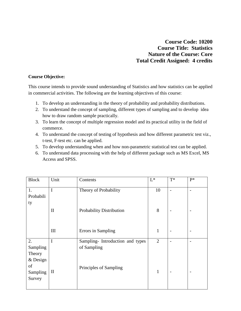**Course Code: 10200 Course Title: Statistics Nature of the Course: Core Total Credit Assigned: 4 credits** 

## **Course Objective:**

This course intends to provide sound understanding of Statistics and how statistics can be applied in commercial activities. The following are the learning objectives of this course:

- 1. To develop an understanding in the theory of probability and probability distributions.
- 2. To understand the concept of sampling, different types of sampling and to develop idea how to draw random sample practically.
- 3. To learn the concept of multiple regression model and its practical utility in the field of commerce.
- 4. To understand the concept of testing of hypothesis and how different parametric test viz., t-test, F-test etc. can be applied.
- 5. To develop understanding when and how non-parametric statistical test can be applied.
- 6. To understand data processing with the help of different package such as MS Excel, MS Access and SPSS.

| <b>Block</b> | Unit         | Contents                         | $L^*$          | $T^*$                    | $P^*$                    |
|--------------|--------------|----------------------------------|----------------|--------------------------|--------------------------|
| 1.           | I            | Theory of Probability            | 10             |                          |                          |
| Probabili    |              |                                  |                |                          |                          |
| ty           |              |                                  |                |                          |                          |
|              | $\mathbf{I}$ | Probability Distribution         | 8              |                          |                          |
|              |              |                                  |                |                          |                          |
|              |              |                                  |                |                          |                          |
|              | III          | Errors in Sampling               | $\mathbf{1}$   | $\overline{\phantom{a}}$ | $\overline{a}$           |
| 2.           | I            | Sampling- Introduction and types | $\overline{2}$ |                          | $\overline{\phantom{0}}$ |
| Sampling     |              | of Sampling                      |                |                          |                          |
| Theory       |              |                                  |                |                          |                          |
| $&$ Design   |              |                                  |                |                          |                          |
| of           |              | Principles of Sampling           |                |                          |                          |
| Sampling     | $\mathbf{I}$ |                                  | 1              |                          | ۰                        |
| Survey       |              |                                  |                |                          |                          |
|              |              |                                  |                |                          |                          |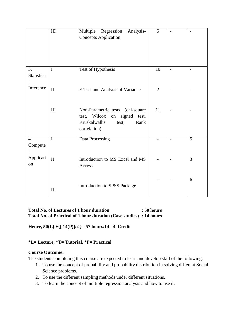|                                             | $\mathop{\rm III}\nolimits$ | Multiple<br>Regression<br>Analysis-<br><b>Concepts Application</b>                                                        | 5              |                |                          |
|---------------------------------------------|-----------------------------|---------------------------------------------------------------------------------------------------------------------------|----------------|----------------|--------------------------|
| 3.<br><b>Statistica</b><br>1                | $\mathbf I$                 | Test of Hypothesis                                                                                                        | 10             | $\overline{a}$ | $\overline{\phantom{0}}$ |
| Inference                                   | $\mathbf{I}$                | F-Test and Analysis of Variance                                                                                           | $\overline{2}$ | $\overline{a}$ | $\overline{\phantom{0}}$ |
|                                             | III                         | Non-Parametric tests (chi-square)<br>test, Wilcox on<br>signed<br>test,<br>Kruskalwallis<br>Rank<br>test,<br>correlation) | 11             | $\overline{a}$ |                          |
| $\overline{4}$ .<br>Compute<br>$\mathbf{r}$ | $\mathbf I$                 | Data Processing                                                                                                           |                |                | 5                        |
| Applicati<br>on                             | $\mathbf{I}$                | Introduction to MS Excel and MS<br>Access                                                                                 |                |                | 3                        |
|                                             | III                         | Introduction to SPSS Package                                                                                              |                |                | 6                        |

## **Total No. of Lectures of 1 hour duration : 50 hours Total No. of Practical of 1 hour duration (Case studies) : 14 hours**

**Hence, 50(L) +{[ 14(P)]/2 }= 57 hours/14= 4 Credit** 

## **\*L= Lecture, \*T= Tutorial, \*P= Practical**

### **Course Outcome:**

The students completing this course are expected to learn and develop skill of the following:

- 1. To use the concept of probability and probability distribution in solving different Social Science problems.
- 2. To use the different sampling methods under different situations.
- 3. To learn the concept of multiple regression analysis and how to use it.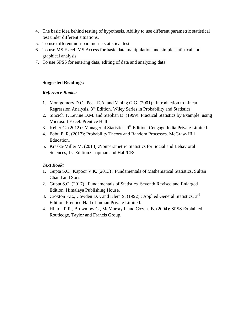- 4. The basic idea behind testing of hypothesis. Ability to use different parametric statistical test under different situations.
- 5. To use different non-parametric statistical test
- 6. To use MS Excel, MS Access for basic data manipulation and simple statistical and graphical analysis.
- 7. To use SPSS for entering data, editing of data and analyzing data.

# **Suggested Readings:**

# *Reference Books:*

- 1. Montgomery D.C., Peck E.A. and Vining G.G. (2001) : Introduction to Linear Regression Analysis. 3rd Edition. Wiley Series in Probability and Statistics.
- 2. Sincich T, Levine D.M. and Stephan D. (1999): Practical Statistics by Example using Microsoft Excel. Prentice Hall
- 3. Keller G. (2012) : Managerial Statistics,  $9<sup>th</sup>$  Edition. Cengage India Private Limited.
- 4. Babu P. R. (2017): Probability Theory and Random Processes. McGraw-Hill Education.
- 5. Kraska-Miller M. (2013) :Nonparametric Statistics for Social and Behavioral Sciences, 1st Edition.Chapman and Hall/CRC.

- 1. Gupta S.C., Kapoor V.K. (2013) : Fundamentals of Mathematical Statistics. Sultan Chand and Sons
- 2. Gupta S.C. (2017) : Fundamentals of Statistics. Seventh Revised and Enlarged Edition. Himalaya Publishing House.
- 3. Croxton F.E., Cowden D.J. and Klein S. (1992) : Applied General Statistics, 3rd Edition. Prentice-Hall of Indian Private Limited.
- 4. Hinton P.R., Brownlow C., McMurray I. and Cozens B. (2004): SPSS Explained. Routledge, Taylor and Francis Group.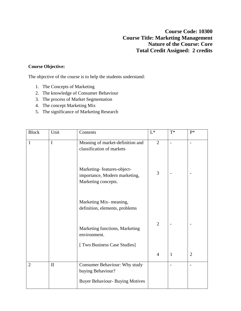**Course Code: 10300 Course Title: Marketing Management Nature of the Course: Core Total Credit Assigned: 2 credits** 

## **Course Objective:**

The objective of the course is to help the students understand:

- 1. The Concepts of Marketing
- 2. The knowledge of Consumer Behaviour
- 3. The process of Market Segmentation
- 4. The concept Marketing Mix
- 5. The significance of Marketing Research

| <b>Block</b>   | Unit         | Contents                                                                           | $L^*$          | $T^*$                    | $P*$           |
|----------------|--------------|------------------------------------------------------------------------------------|----------------|--------------------------|----------------|
| $\mathbf{1}$   | $\mathbf I$  | Meaning of market-definition and<br>classification of markets                      | $\overline{2}$ | $\overline{\phantom{0}}$ |                |
|                |              | Marketing-features-object-<br>importance, Modern marketing,<br>Marketing concepts. | 3              |                          |                |
|                |              | Marketing Mix-meaning,<br>definition, elements, problems                           |                |                          |                |
|                |              | Marketing functions, Marketing<br>environment.                                     | $\overline{2}$ |                          |                |
|                |              | [ Two Business Case Studies]                                                       |                |                          |                |
|                |              |                                                                                    | $\overline{4}$ | $\mathbf{1}$             | $\overline{2}$ |
| $\overline{2}$ | $\mathbf{I}$ | Consumer Behaviour: Why study<br>buying Behaviour?                                 |                |                          |                |
|                |              | <b>Buyer Behaviour- Buying Motives</b>                                             |                |                          |                |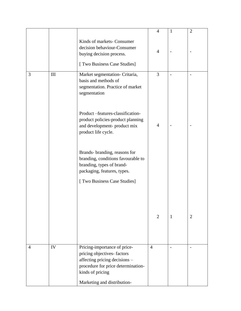|                |     |                                                                                                                                                                                      | $\overline{4}$ | 1                        | $\overline{2}$ |
|----------------|-----|--------------------------------------------------------------------------------------------------------------------------------------------------------------------------------------|----------------|--------------------------|----------------|
|                |     | Kinds of markets- Consumer<br>decision behaviour-Consumer<br>buying decision process.<br>[ Two Business Case Studies]                                                                | $\overline{4}$ |                          |                |
| 3              | III | Market segmentation- Critaria,<br>basis and methods of<br>segmentation. Practice of market<br>segmentation                                                                           | 3              |                          |                |
|                |     | Product-features-classification-<br>product policies-product planning<br>and development-product mix<br>product life cycle.                                                          | $\overline{4}$ | $\overline{\phantom{0}}$ |                |
|                |     | Brands- branding, reasons for<br>branding, conditions favourable to<br>branding, types of brand-<br>packaging, features, types.                                                      |                |                          |                |
|                |     | [ Two Business Case Studies]                                                                                                                                                         |                |                          |                |
|                |     |                                                                                                                                                                                      | 2              | 1                        | $\overline{2}$ |
| $\overline{4}$ | IV  | Pricing-importance of price-<br>pricing objectives-factors<br>affecting pricing decisions -<br>procedure for price determination-<br>kinds of pricing<br>Marketing and distribution- | $\overline{4}$ |                          |                |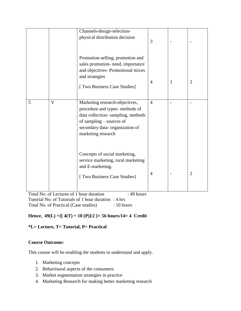|   |                                          | Channels-design-selection-<br>physical distribution decision<br>Promotion-selling, promotion and<br>sales promotion- need, importance<br>and objectives- Promotional mixes<br>and strategies<br>[ Two Business Case Studies] | 3<br>$\overline{4}$ | 1 | $\overline{2}$ |
|---|------------------------------------------|------------------------------------------------------------------------------------------------------------------------------------------------------------------------------------------------------------------------------|---------------------|---|----------------|
| 5 | $\overline{\mathsf{V}}$                  | Marketing research-objectives,<br>procedure and types- methods of<br>data collection-sampling, methods<br>of sampling – sources of<br>secondary data-organization of<br>marketing research                                   | $\overline{4}$      |   |                |
|   | Total No. of Lectures of 1 hour duration | Concepts of social marketing,<br>service marketing, rural marketing<br>and E-marketing.<br>[ Two Business Case Studies]<br>$: 49$ hours                                                                                      | $\overline{4}$      |   | $\overline{2}$ |

Total No. of Lectures of 1 hour duration : 49 hours Tutorial No. of Tutorials of 1 hour duration : 4 hrs Total No. of Practical (Case studies) : 10 hours

# **Hence, 49(L) +{[ 4(T) + 10 (P)]/2 }= 56 hours/14= 4 Credit**

## **\*L= Lecture, T= Tutorial, P= Practical**

## **Course Outcome:**

This course will be enabling the students to understand and apply.

- 1. Marketing concepts
- 2. Behavioural aspects of the consumers
- 3. Market segmentation strategies in practice
- 4. Marketing Research for making better marketing research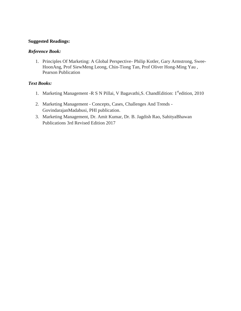## **Suggested Readings:**

## *Reference Book:*

1. Principles Of Marketing: A Global Perspective- Philip Kotler, Gary Armstrong, Swee-HoonAng, Prof SiewMeng Leong, Chin-Tiong Tan, Prof Oliver Hong-Ming Yau , Pearson Publication

- 1. Marketing Management -R S N Pillai, V Bagavathi, S. ChandEdition: 1<sup>st</sup>edition, 2010
- 2. Marketing Management Concepts, Cases, Challenges And Trends GovindarajanMadabusi, PHI publication.
- 3. Marketing Management, Dr. Amit Kumar, Dr. B. Jagdish Rao, SahityaBhawan Publications 3rd Revised Edition 2017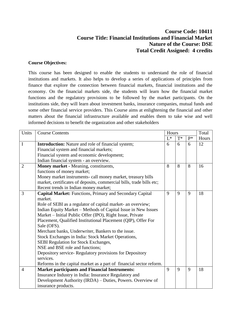# **Course Code: 10411 Course Title: Financial Institutions and Financial Market Nature of the Course: DSE Total Credit Assigned: 4 credits**

## **Course Objectives:**

This course has been designed to enable the students to understand the role of financial institutions and markets. It also helps to develop a series of applications of principles from finance that explore the connection between financial markets, financial institutions and the economy. On the financial markets side, the students will learn how the financial market functions and the regulatory provisions to be followed by the market participants. On the institutions side, they will learn about investment banks, insurance companies, mutual funds and some other financial service providers. This Course aims at enlightening the financial and other matters about the financial infrastructure available and enables them to take wise and well informed decisions to benefit the organization and other stakeholders

| Units          | <b>Course Contents</b>                                               | Hours        |             |       | Total |
|----------------|----------------------------------------------------------------------|--------------|-------------|-------|-------|
|                |                                                                      | $L^*$        | $T^*$       | $P^*$ | Hours |
| $\mathbf I$    | <b>Introduction:</b> Nature and role of financial system;            | 6            | 6           | 6     | 12    |
|                | Financial system and financial markets;                              |              |             |       |       |
|                | Financial system and economic development;                           |              |             |       |       |
|                | Indian financial system - an overview.                               |              |             |       |       |
| $\overline{2}$ | Money market - Meaning, constituents,                                | 8            | 8           | 8     | 16    |
|                | functions of money market;                                           |              |             |       |       |
|                | Money market instruments- call money market, treasury bills          |              |             |       |       |
|                | market, certificates of deposits, commercial bills, trade bills etc; |              |             |       |       |
|                | Recent trends in Indian money market;                                |              |             |       |       |
| $\overline{3}$ | Capital Market: Functions, Primary and Secondary Capital             | 9            | 9           | 9     | 18    |
|                | market.                                                              |              |             |       |       |
|                | Role of SEBI as a regulator of capital market- an overview;          |              |             |       |       |
|                | Indian Equity Market - Methods of Capital Issue in New Issues        |              |             |       |       |
|                | Market - Initial Public Offer (IPO), Right Issue, Private            |              |             |       |       |
|                | Placement, Qualified Institutional Placement (QIP), Offer For        |              |             |       |       |
|                | Sale (OFS).                                                          |              |             |       |       |
|                | Merchant banks, Underwriter, Bankers to the issue.                   |              |             |       |       |
|                | Stock Exchanges in India: Stock Market Operations,                   |              |             |       |       |
|                | SEBI Regulation for Stock Exchanges,                                 |              |             |       |       |
|                | NSE and BSE role and functions;                                      |              |             |       |       |
|                | Depository service-Regulatory provisions for Depository              |              |             |       |       |
|                | services.                                                            |              |             |       |       |
|                | Reforms in the capital market as a part of financial sector reform.  |              |             |       |       |
| $\overline{4}$ | <b>Market participants and Financial Instruments:</b>                | $\mathbf{Q}$ | $\mathbf Q$ | 9     | 18    |
|                | Insurance Industry in India: Insurance Regulatory and                |              |             |       |       |
|                | Development Authority (IRDA) - Duties, Powers. Overview of           |              |             |       |       |
|                | insurance products.                                                  |              |             |       |       |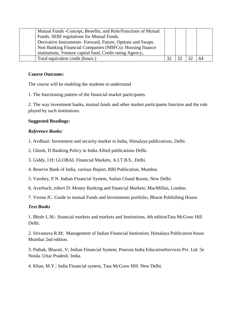| Mutual Funds - Concept, Benefits, and Role/Functions of Mutual |  |    |
|----------------------------------------------------------------|--|----|
| Funds. SEBI regulations for Mutual Funds.                      |  |    |
| Derivative Instruments- Forward, Future, Options and Swaps.    |  |    |
| Non Banking Financial Companies (NBFCs): Housing finance       |  |    |
| institutions, Venture capital fund, Credit rating Agency,.     |  |    |
| Total equivalent credit (hours)                                |  | 64 |

## **Course Outcome:**

The course will be enabling the students to understand

1. The functioning pattern of the financial market participants.

2. The way investment banks, mutual funds and other market participants function and the role played by such institutions.

## **Suggested Readings:**

## *Reference Books:*

1. Avdhani: Investment and security market in India, Himalaya publications, Delhi.

2. Ghosh, D Banking Policy in India Allied publications Delhi.

3. Giddy, I.H; GLOBAL Financial Markets, A.I.T.B.S., Delhi.

4. Reserve Bank of India, various Report, RBI Publication, Mumbai.

- 5. Varshey, P.N. Indian Financial System, Sutlan Chand &sons, New Delhi.
- 6. Averbach, robert D: Money Banking and financial Markets; MacMillan, London.

7. Verma JC. Guide to mutual Funds and Investments portfolio, Bharat Publishing House.

## *Text Books*

1. Bhole L.M.: financial markets and markets and Institutions, 4th editionTata McGraw Hill Delhi.

2. Srivastava R.M; Management of Indian Financial Institution; Himalaya Publication house Mumbai 2nd edition.

3. Pathak, Bharati, V; Indian Financial System; Pearson India EducationServices Pvt. Ltd. 5e Noida. Uttar Pradesh. India.

4. Khan, M.Y.: India Financial system, Tata McGraw Hill. New Delhi.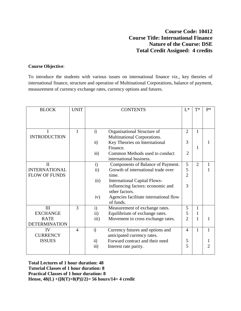# **Course Code: 10412 Course Title: International Finance Nature of the Course: DSE Total Credit Assigned: 4 credits**

## **Course Objective**:

To introduce the students with various issues on international finance viz., key theories of international finance, structure and operation of Multinational Corporations, balance of payment, measurement of currency exchange rates, currency options and futures.

| <b>BLOCK</b>         | <b>UNIT</b>  |               | <b>CONTENTS</b>                        | $L^*$          | $T^*$          | $P*$ |
|----------------------|--------------|---------------|----------------------------------------|----------------|----------------|------|
|                      |              |               |                                        |                |                |      |
|                      |              |               |                                        |                |                |      |
| I                    | $\mathbf{1}$ | i)            | Organisational Structure of            | $\overline{2}$ | 1              |      |
| <b>INTRODUCTION</b>  |              |               | Multinational Corporations.            |                |                |      |
|                      |              | $\mathsf{ii}$ | Key Theories on International          | 3              |                |      |
|                      |              |               | Finance.                               |                | 1              |      |
|                      |              | iii)          | Common Methods used to conduct         | $\overline{2}$ |                |      |
|                      |              |               | international business.                |                |                |      |
| $\mathbf{I}$         |              | $\mathbf{i}$  | Components of Balance of Payment.      | 5              | $\overline{2}$ | 1    |
| <b>INTERNATIONAL</b> |              | ii)           | Growth of international trade over     | 5              |                |      |
| <b>FLOW OF FUNDS</b> |              |               | time.                                  | $\overline{2}$ |                |      |
|                      |              | iii)          | <b>International Capital Flows-</b>    |                |                |      |
|                      |              |               | influencing factors: economic and      | 3              |                |      |
|                      |              |               | other factors.                         |                |                |      |
|                      |              | iv)           | Agencies facilitate international flow |                |                |      |
|                      |              |               | of funds.                              |                |                |      |
| III                  | 3            | $\mathbf{i}$  | Measurement of exchange rates.         | 5              | 1              |      |
| <b>EXCHANGE</b>      |              | $\mathbf{ii}$ | Equilibrium of exchange rates.         | 5              | 1              |      |
| <b>RATE</b>          |              | iii)          | Movement in cross exchange rates.      | $\overline{2}$ | 1              | 1    |
| <b>DETERMINATION</b> |              |               |                                        |                |                |      |
| IV                   | 4            | i)            | Currency futures and options and       | 4              | 1              | 1    |
| <b>CURRENCY</b>      |              |               | anticipated currency rates.            |                |                |      |
| <b>ISSUES</b>        |              | ii)           | Forward contract and their need        | 5              |                |      |
|                      |              | iii)          | Interest rate parity.                  | 5              |                | っ    |
|                      |              |               |                                        |                |                |      |

**Total Lectures of 1 hour duration: 48 Tutorial Classes of 1 hour duration: 8 Practical Classes of 1 hour duration: 8 Hense, 48(L) +{[8(T)+8(P)]/2}= 56 hours/14= 4 credit**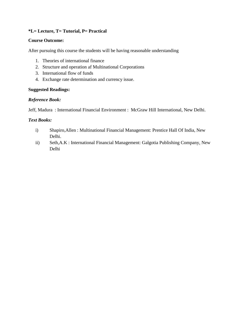## **\*L= Lecture, T= Tutorial, P= Practical**

## **Course Outcome:**

After pursuing this course the students will be having reasonable understanding

- 1. Theories of international finance
- 2. Structure and operation af Multinational Corporations
- 3. International flow of funds
- 4. Exchange rate determination and currency issue.

## **Suggested Readings:**

## *Reference Book:*

Jeff, Madura : International Financial Environment : McGraw Hill International, New Delhi.

- i) Shapiro,Allen : Multinational Financial Management: Prentice Hall Of India, New Delhi.
- ii) Seth,A.K : International Financial Management: Galgotia Publishing Company, New Delhi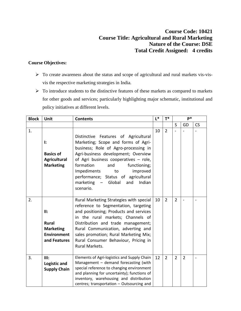# **Course Code: 10421 Course Title: Agricultural and Rural Marketing Nature of the Course: DSE Total Credit Assigned: 4 credits**

# **Course Objectives:**

- To create awareness about the status and scope of agricultural and rural markets vis-visvis the respective marketing strategies in India.
- $\triangleright$  To introduce students to the distinctive features of these markets as compared to markets for other goods and services; particularly highlighting major schematic, institutional and policy initiatives at different levels.

| <b>Block</b> | Unit                                                                          | <b>Contents</b>                                                                                                                                                                                                                                                                                                                                                        | $L^*$ | $T^*$          |                | $P*$           |           |
|--------------|-------------------------------------------------------------------------------|------------------------------------------------------------------------------------------------------------------------------------------------------------------------------------------------------------------------------------------------------------------------------------------------------------------------------------------------------------------------|-------|----------------|----------------|----------------|-----------|
|              |                                                                               |                                                                                                                                                                                                                                                                                                                                                                        |       |                | S              | GD             | <b>CS</b> |
| 1.           | ŀ.<br><b>Basics of</b><br><b>Agricultural</b><br><b>Marketing</b>             | Distinctive Features of Agricultural<br>Marketing; Scope and forms of Agri-<br>business; Role of Agro-processing in<br>Agri-business development; Overview<br>of Agri business cooperatives - role,<br>formation<br>functioning;<br>and<br>Impediments<br>improved<br>to<br>performance; Status of agricultural<br>marketing<br>- Global<br>and<br>Indian<br>scenario. | 10    | $\overline{2}$ |                |                |           |
| 2.           | II:<br><b>Rural</b><br><b>Marketing</b><br><b>Environment</b><br>and Features | Rural Marketing Strategies with special<br>reference to Segmentation, targeting<br>and positioning; Products and services<br>in the rural markets; Channels of<br>Distribution and trade management;<br>Rural Communication, adverting and<br>sales promotion; Rural Marketing Mix;<br>Rural Consumer Behaviour, Pricing in<br>Rural Markets.                          | 10    | $\overline{2}$ | $\overline{2}$ |                |           |
| 3.           | III:<br>Logistic and<br><b>Supply Chain</b>                                   | Elements of Agri-logistics and Supply Chain<br>Management - demand forecasting (with<br>special reference to changing environment<br>and planning for uncertainty); functions of<br>inventory, warehousing and distribution<br>centres; transportation - Outsourcing and                                                                                               | 12    | $\overline{2}$ | $\overline{2}$ | $\overline{2}$ |           |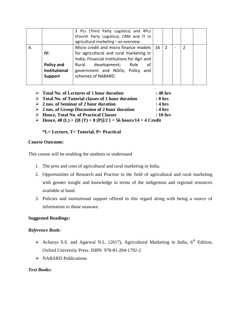|    |                                                             | 3 PLs (Third Party Logistics) and 4PLs<br>(Fourth Party Logistics); CRM and IT in<br>agricultural marketing - an overview.                                                                                                             |   |  |  |
|----|-------------------------------------------------------------|----------------------------------------------------------------------------------------------------------------------------------------------------------------------------------------------------------------------------------------|---|--|--|
| 4. | IV:<br>Policy and<br><b>Institutional</b><br><b>Support</b> | Micro credit and micro finance models   16<br>for agricultural and rural marketing in<br>India; Financial Institutions for Agri and<br>development;<br>Role<br>Rural<br>οf<br>government and NGOs; Policy<br>and<br>schemes of NABARD. | 2 |  |  |

- **Total No. of Lectures of 1 hour duration : 48 hrs Total No. of Tutorial classes of 1 hour duration : 8 hrs 2 nos. of Seminar of 2 hour duration : 4 hrs 2 nos. of Group Discussion of 2 hour duration : 4 hrs Hence, Total No. of Practical Classes : 10 hrs**
- **FR** Hence,  $48$  (L) + {[ $8$  (T) +  $8$  (P)]/2 } = 56 hours/14 = 4 Credit

#### **\*L= Lecture, T= Tutorial, P= Practical**

#### **Course Outcome:**

This course will be enabling the students to understand

- 1. The pros and cons of agricultural and rural marketing in India.
- 2. Opportunities of Research and Practise in the field of agricultural and rural marketing with greater insight and knowledge in terms of the indigenous and regional resources available at hand.
- 3. Policies and institutional support offered in this regard along with being a source of information to those unaware.

## **Suggested Readings:**

#### *Reference Book:*

- $\triangleright$  Acharya S.S. and Agarwal N.L. (2017), Agricultural Marketing in India, 6<sup>th</sup> Edition, Oxford University Press. ISBN: 978-81-204-1792-2
- $\triangleright$  NABARD Publications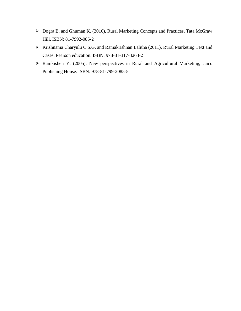- Dogra B. and Ghuman K. (2010), Rural Marketing Concepts and Practices, Tata McGraw Hill. ISBN: 81-7992-085-2
- Krishnama Charyulu C.S.G. and Ramakrishnan Lalitha (2011), Rural Marketing Text and Cases, Pearson education. ISBN: 978-81-317-3263-2
- Ramkishen Y. (2005), New perspectives in Rural and Agricultural Marketing, Jaico Publishing House. ISBN: 978-81-799-2085-5

.

.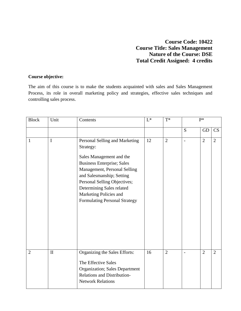# **Course Code: 10422 Course Title: Sales Management Nature of the Course: DSE Total Credit Assigned: 4 credits**

# **Course objective:**

The aim of this course is to make the students acquainted with sales and Sales Management Process, its role in overall marketing policy and strategies, effective sales techniques and controlling sales process.

| <b>Block</b>   | Unit         | Contents                                                                                                                                                                                                                                                                                          | $\mathbf{L}^*$ | $T^*$          | $P^*$                    |                |                |
|----------------|--------------|---------------------------------------------------------------------------------------------------------------------------------------------------------------------------------------------------------------------------------------------------------------------------------------------------|----------------|----------------|--------------------------|----------------|----------------|
|                |              |                                                                                                                                                                                                                                                                                                   |                |                | S                        | <b>GD</b>      | CS             |
| $\mathbf{1}$   | $\mathbf I$  | Personal Selling and Marketing<br>Strategy:<br>Sales Management and the<br><b>Business Enterprise; Sales</b><br>Management, Personal Selling<br>and Salesmanship; Setting<br>Personal Selling Objectives;<br>Determining Sales related<br>Marketing Policies and<br>Formulating Personal Strategy | 12             | $\overline{2}$ | $\overline{a}$           | $\overline{2}$ | $\overline{2}$ |
| $\overline{2}$ | $\mathbf{I}$ | Organizing the Sales Efforts:<br>The Effective Sales<br><b>Organization</b> ; Sales Department<br><b>Relations and Distribution-</b><br><b>Network Relations</b>                                                                                                                                  | 16             | $\overline{2}$ | $\overline{\phantom{0}}$ | $\overline{2}$ | $\overline{2}$ |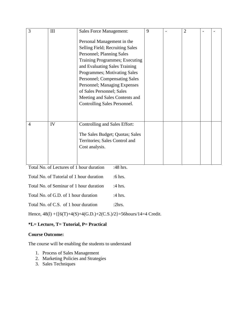| 3              | III | <b>Sales Force Management:</b>                                                                                                                                                                                                                                                                                                                                | 9 | $\overline{2}$ |  |
|----------------|-----|---------------------------------------------------------------------------------------------------------------------------------------------------------------------------------------------------------------------------------------------------------------------------------------------------------------------------------------------------------------|---|----------------|--|
|                |     | Personal Management in the<br>Selling Field; Recruiting Sales<br>Personnel; Planning Sales<br>Training Programmes; Executing<br>and Evaluating Sales Training<br>Programmes; Motivating Sales<br>Personnel; Compensating Sales<br>Personnel; Managing Expenses<br>of Sales Personnel; Sales<br>Meeting and Sales Contents and<br>Controlling Sales Personnel. |   |                |  |
| $\overline{4}$ | IV  | Controlling and Sales Effort:<br>The Sales Budget; Quotas; Sales<br>Territories; Sales Control and<br>Cost analysis.                                                                                                                                                                                                                                          |   |                |  |

|  | Total No. of Lectures of 1 hour duration | $:48$ hrs. |
|--|------------------------------------------|------------|

| Total No. of Tutorial of 1 hour duration | $:6$ hrs.        |
|------------------------------------------|------------------|
| Total No. of Seminar of 1 hour duration  | :4 hrs.          |
| Total No. of G.D. of 1 hour duration     | :4 hrs.          |
| Total No. of C.S. of 1 hour duration     | 2 <sub>hrs</sub> |

Hence, 48(l) +{[6(T)+4(S)+4(G.D.)+2(C.S.)/2}=56hours/14=4 Credit.

# **\*L= Lecture, T= Tutorial, P= Practical**

# **Course Outcome:**

The course will be enabling the students to understand

- 1. Process of Sales Management
- 2. Marketing Policies and Strategies
- 3. Sales Techniques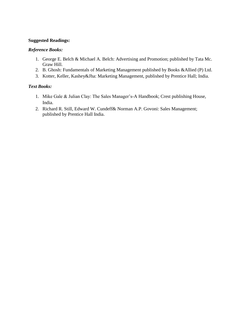## **Suggested Readings:**

## *Reference Books:*

- 1. George E. Belch & Michael A. Belch: Advertising and Promotion; published by Tata Mc. Graw Hill.
- 2. B. Ghosh: Fundamentals of Marketing Management published by Books &Allied (P) Ltd.
- 3. Kotter, Keller, Kashey&Jha: Marketing Management, published by Prentice Hall; India.

- 1. Mike Gale & Julian Clay: The Sales Manager's-A Handbook; Crest publishing House, India.
- 2. Richard R. Still, Edward W. Cundeff& Norman A.P. Govoni: Sales Management; published by Prentice Hall India.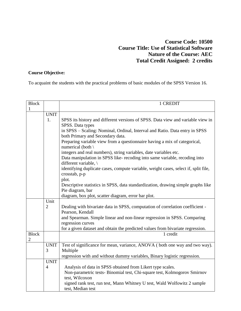# **Course Code: 10500 Course Title: Use of Statistical Software Nature of the Course: AEC Total Credit Assigned: 2 credits**

# **Course Objective:**

To acquaint the students with the practical problems of basic modules of the SPSS Version 16.

| <b>Block</b> |                | 1 CREDIT                                                                            |
|--------------|----------------|-------------------------------------------------------------------------------------|
| 1            |                |                                                                                     |
|              | <b>UNIT</b>    |                                                                                     |
|              | 1.             | SPSS its history and different versions of SPSS. Data view and variable view in     |
|              |                | SPSS. Data types                                                                    |
|              |                | in SPSS - Scaling: Nominal, Ordinal, Interval and Ratio. Data entry in SPSS         |
|              |                | both Primary and Secondary data.                                                    |
|              |                | Preparing variable view from a questionnaire having a mix of categorical,           |
|              |                | numerical (both \                                                                   |
|              |                | integers and real numbers), string variables, date variables etc.                   |
|              |                | Data manipulation in SPSS like- recoding into same variable, recoding into          |
|              |                | different variable, \                                                               |
|              |                | identifying duplicate cases, compute variable, weight cases, select if, split file, |
|              |                | crosstab, p-p                                                                       |
|              |                | plot.                                                                               |
|              |                | Descriptive statistics in SPSS, data standardization, drawing simple graphs like    |
|              |                | Pie diagram, bar                                                                    |
|              |                | diagram, box plot, scatter diagram, error bar plot.                                 |
|              | Unit           |                                                                                     |
|              | $\overline{2}$ | Dealing with bivariate data in SPSS, computation of correlation coefficient -       |
|              |                | Pearson, Kendall                                                                    |
|              |                | and Spearman. Simple linear and non-linear regression in SPSS. Comparing            |
|              |                | regression curves                                                                   |
|              |                | for a given dataset and obtain the predicted values from bivariate regression.      |
| <b>Block</b> |                | 1 credit                                                                            |
| 2            |                |                                                                                     |
|              | <b>UNIT</b>    | Test of significance for mean, variance, ANOVA (both one way and two way).          |
|              | 3              | Multiple                                                                            |
|              |                | regression with and without dummy variables, Binary logistic regression.            |
|              | <b>UNIT</b>    |                                                                                     |
|              | $\overline{4}$ | Analysis of data in SPSS obtained from Likert type scales.                          |
|              |                | Non-parametric tests- Binomial test, Chi-square test, Kolmogorov Smirnov            |
|              |                | test, Wilcoxon                                                                      |
|              |                | signed rank test, run test, Mann Whitney U test, Wald Wolfowitz 2 sample            |
|              |                | test, Median test                                                                   |